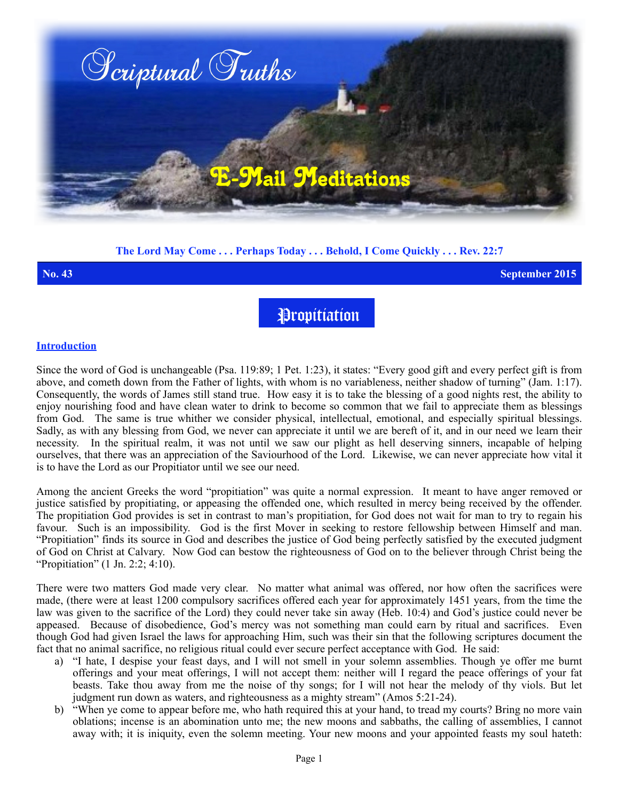

## **The Lord May Come . . . Perhaps Today . . . Behold, I Come Quickly . . . Rev. 22:7**

**No. 43 September 2015**

Propitiation

#### **Introduction**

Since the word of God is unchangeable (Psa. 119:89; 1 Pet. 1:23), it states: "Every good gift and every perfect gift is from above, and cometh down from the Father of lights, with whom is no variableness, neither shadow of turning" (Jam. 1:17). Consequently, the words of James still stand true. How easy it is to take the blessing of a good nights rest, the ability to enjoy nourishing food and have clean water to drink to become so common that we fail to appreciate them as blessings from God. The same is true whither we consider physical, intellectual, emotional, and especially spiritual blessings. Sadly, as with any blessing from God, we never can appreciate it until we are bereft of it, and in our need we learn their necessity. In the spiritual realm, it was not until we saw our plight as hell deserving sinners, incapable of helping ourselves, that there was an appreciation of the Saviourhood of the Lord. Likewise, we can never appreciate how vital it is to have the Lord as our Propitiator until we see our need.

Among the ancient Greeks the word "propitiation" was quite a normal expression. It meant to have anger removed or justice satisfied by propitiating, or appeasing the offended one, which resulted in mercy being received by the offender. The propitiation God provides is set in contrast to man's propitiation, for God does not wait for man to try to regain his favour. Such is an impossibility. God is the first Mover in seeking to restore fellowship between Himself and man. "Propitiation" finds its source in God and describes the justice of God being perfectly satisfied by the executed judgment of God on Christ at Calvary. Now God can bestow the righteousness of God on to the believer through Christ being the "Propitiation" (1 Jn. 2:2; 4:10).

There were two matters God made very clear. No matter what animal was offered, nor how often the sacrifices were made, (there were at least 1200 compulsory sacrifices offered each year for approximately 1451 years, from the time the law was given to the sacrifice of the Lord) they could never take sin away (Heb. 10:4) and God's justice could never be appeased. Because of disobedience, God's mercy was not something man could earn by ritual and sacrifices. Even though God had given Israel the laws for approaching Him, such was their sin that the following scriptures document the fact that no animal sacrifice, no religious ritual could ever secure perfect acceptance with God. He said:

- a) "I hate, I despise your feast days, and I will not smell in your solemn assemblies. Though ye offer me burnt offerings and your meat offerings, I will not accept them: neither will I regard the peace offerings of your fat beasts. Take thou away from me the noise of thy songs; for I will not hear the melody of thy viols. But let judgment run down as waters, and righteousness as a mighty stream" (Amos 5:21-24).
- b) "When ye come to appear before me, who hath required this at your hand, to tread my courts? Bring no more vain oblations; incense is an abomination unto me; the new moons and sabbaths, the calling of assemblies, I cannot away with; it is iniquity, even the solemn meeting. Your new moons and your appointed feasts my soul hateth: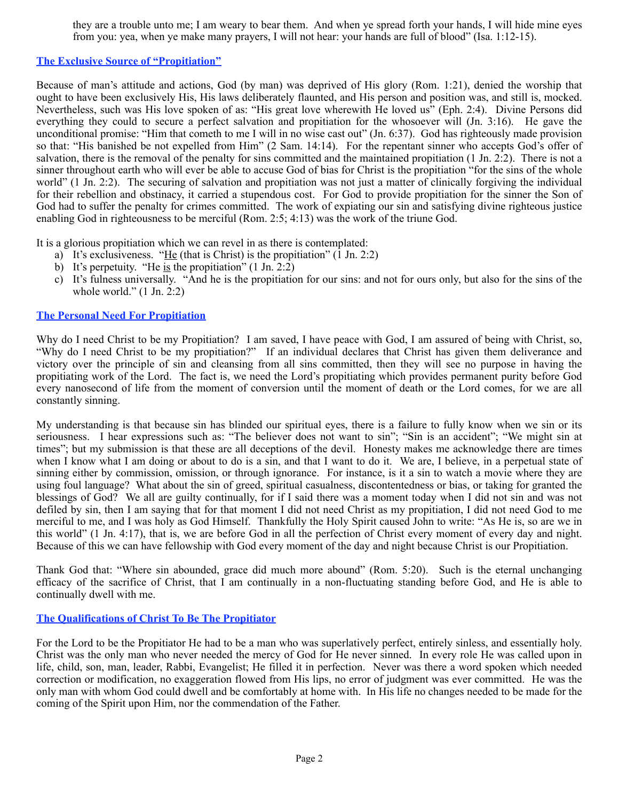they are a trouble unto me; I am weary to bear them. And when ye spread forth your hands, I will hide mine eyes from you: yea, when ye make many prayers, I will not hear: your hands are full of blood" (Isa. 1:12-15).

# **The Exclusive Source of "Propitiation"**

Because of man's attitude and actions, God (by man) was deprived of His glory (Rom. 1:21), denied the worship that ought to have been exclusively His, His laws deliberately flaunted, and His person and position was, and still is, mocked. Nevertheless, such was His love spoken of as: "His great love wherewith He loved us" (Eph. 2:4). Divine Persons did everything they could to secure a perfect salvation and propitiation for the whosoever will (Jn. 3:16). He gave the unconditional promise: "Him that cometh to me I will in no wise cast out" (Jn. 6:37). God has righteously made provision so that: "His banished be not expelled from Him" (2 Sam. 14:14). For the repentant sinner who accepts God's offer of salvation, there is the removal of the penalty for sins committed and the maintained propitiation (1 Jn. 2:2). There is not a sinner throughout earth who will ever be able to accuse God of bias for Christ is the propitiation "for the sins of the whole world" (1 Jn. 2:2). The securing of salvation and propitiation was not just a matter of clinically forgiving the individual for their rebellion and obstinacy, it carried a stupendous cost. For God to provide propitiation for the sinner the Son of God had to suffer the penalty for crimes committed. The work of expiating our sin and satisfying divine righteous justice enabling God in righteousness to be merciful (Rom. 2:5; 4:13) was the work of the triune God.

It is a glorious propitiation which we can revel in as there is contemplated:

- a) It's exclusiveness. "He (that is Christ) is the propitiation"  $(1 \text{ Jn. } 2:2)$
- b) It's perpetuity. "He is the propitiation"  $(1 \text{ Jn. } 2:2)$
- c) It's fulness universally. "And he is the propitiation for our sins: and not for ours only, but also for the sins of the whole world." (1 Jn. 2:2)

## **The Personal Need For Propitiation**

Why do I need Christ to be my Propitiation? I am saved, I have peace with God, I am assured of being with Christ, so, "Why do I need Christ to be my propitiation?" If an individual declares that Christ has given them deliverance and victory over the principle of sin and cleansing from all sins committed, then they will see no purpose in having the propitiating work of the Lord. The fact is, we need the Lord's propitiating which provides permanent purity before God every nanosecond of life from the moment of conversion until the moment of death or the Lord comes, for we are all constantly sinning.

My understanding is that because sin has blinded our spiritual eyes, there is a failure to fully know when we sin or its seriousness. I hear expressions such as: "The believer does not want to sin"; "Sin is an accident"; "We might sin at times"; but my submission is that these are all deceptions of the devil. Honesty makes me acknowledge there are times when I know what I am doing or about to do is a sin, and that I want to do it. We are, I believe, in a perpetual state of sinning either by commission, omission, or through ignorance. For instance, is it a sin to watch a movie where they are using foul language? What about the sin of greed, spiritual casualness, discontentedness or bias, or taking for granted the blessings of God? We all are guilty continually, for if I said there was a moment today when I did not sin and was not defiled by sin, then I am saying that for that moment I did not need Christ as my propitiation, I did not need God to me merciful to me, and I was holy as God Himself. Thankfully the Holy Spirit caused John to write: "As He is, so are we in this world" (1 Jn. 4:17), that is, we are before God in all the perfection of Christ every moment of every day and night. Because of this we can have fellowship with God every moment of the day and night because Christ is our Propitiation.

Thank God that: "Where sin abounded, grace did much more abound" (Rom. 5:20). Such is the eternal unchanging efficacy of the sacrifice of Christ, that I am continually in a non-fluctuating standing before God, and He is able to continually dwell with me.

# **The Qualifications of Christ To Be The Propitiator**

For the Lord to be the Propitiator He had to be a man who was superlatively perfect, entirely sinless, and essentially holy. Christ was the only man who never needed the mercy of God for He never sinned. In every role He was called upon in life, child, son, man, leader, Rabbi, Evangelist; He filled it in perfection. Never was there a word spoken which needed correction or modification, no exaggeration flowed from His lips, no error of judgment was ever committed. He was the only man with whom God could dwell and be comfortably at home with. In His life no changes needed to be made for the coming of the Spirit upon Him, nor the commendation of the Father.